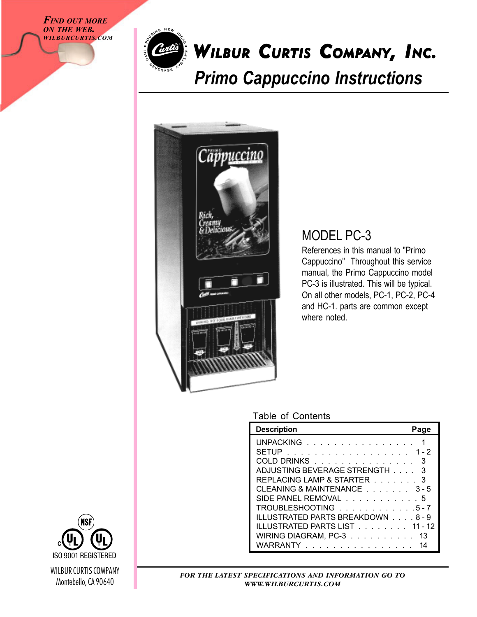*FIND OUT MORE ON THE WEB. WILBURCURTIS.COM*



## *Primo Cappuccino Instructions* WILBUR CURTIS COMPANY, INC.



### MODEL PC-3

References in this manual to "Primo Cappuccino" Throughout this service manual, the Primo Cappuccino model PC-3 is illustrated. This will be typical. On all other models, PC-1, PC-2, PC-4 and HC-1. parts are common except where noted.

#### Table of Contents

| <b>Description</b>                | Page |
|-----------------------------------|------|
| UNPACKING                         | 1    |
| SETUP<br>. 1-2                    |      |
| COLD DRINKS                       | 3    |
| ADJUSTING BEVERAGE STRENGTH       | 3    |
| REPLACING LAMP & STARTER 3        |      |
| CLEANING & MAINTENANCE 3-5        |      |
| SIDE PANEL REMOVAL 5              |      |
| TROUBLESHOOTING 5-7               |      |
| ILLUSTRATED PARTS BREAKDOWN 8 - 9 |      |
| ILLUSTRATED PARTS LIST 11 - 12    |      |
| WIRING DIAGRAM, PC-3              | -13  |
| WARRANTY                          |      |



*FOR THE LATEST SPECIFICATIONS AND INFORMATION GO TO WWW.WILBURCURTIS.COM*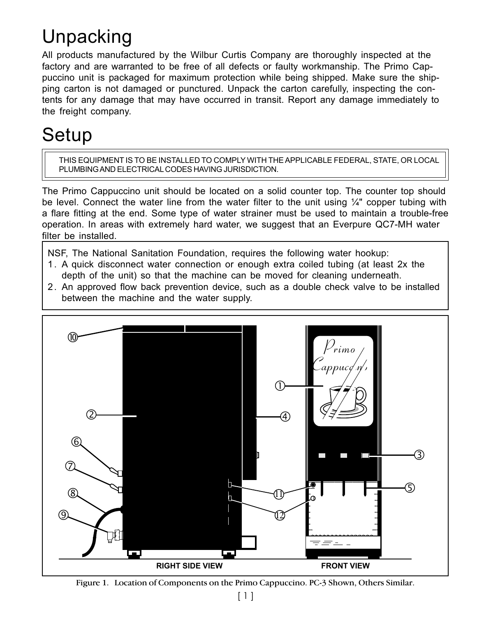# Unpacking

All products manufactured by the Wilbur Curtis Company are thoroughly inspected at the factory and are warranted to be free of all defects or faulty workmanship. The Primo Cappuccino unit is packaged for maximum protection while being shipped. Make sure the shipping carton is not damaged or punctured. Unpack the carton carefully, inspecting the contents for any damage that may have occurred in transit. Report any damage immediately to the freight company.

## Setup

THIS EQUIPMENT IS TO BE INSTALLED TO COMPLY WITH THE APPLICABLE FEDERAL, STATE, OR LOCAL PLUMBING AND ELECTRICAL CODES HAVING JURISDICTION.

The Primo Cappuccino unit should be located on a solid counter top. The counter top should be level. Connect the water line from the water filter to the unit using  $\frac{1}{4}$ " copper tubing with a flare fitting at the end. Some type of water strainer must be used to maintain a trouble-free operation. In areas with extremely hard water, we suggest that an Everpure QC7-MH water filter be installed.

NSF, The National Sanitation Foundation, requires the following water hookup:

- 1. A quick disconnect water connection or enough extra coiled tubing (at least 2x the depth of the unit) so that the machine can be moved for cleaning underneath.
- 2. An approved flow back prevention device, such as a double check valve to be installed between the machine and the water supply.



Figure 1. Location of Components on the Primo Cappuccino. PC-3 Shown, Others Similar.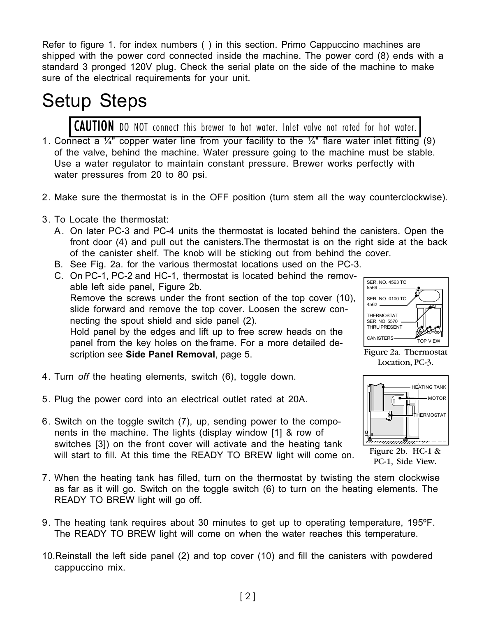Refer to figure 1. for index numbers () in this section. Primo Cappuccino machines are shipped with the power cord connected inside the machine. The power cord (8) ends with a standard 3 pronged 120V plug. Check the serial plate on the side of the machine to make sure of the electrical requirements for your unit.

## Setup Steps

CAUTION DO NOT connect this brewer to hot water. Inlet valve not rated for hot water.

- 1. Connect a  $\frac{1}{4}$ " copper water line from your facility to the  $\frac{1}{4}$ " flare water inlet fitting (9) of the valve, behind the machine. Water pressure going to the machine must be stable. Use a water regulator to maintain constant pressure. Brewer works perfectly with water pressures from 20 to 80 psi.
- 2. Make sure the thermostat is in the OFF position (turn stem all the way counterclockwise).
- 3. To Locate the thermostat:
	- A. On later PC-3 and PC-4 units the thermostat is located behind the canisters. Open the front door (4) and pull out the canisters.The thermostat is on the right side at the back of the canister shelf. The knob will be sticking out from behind the cover.
	- B. See Fig. 2a. for the various thermostat locations used on the PC-3.
	- C. On PC-1, PC-2 and HC-1, thermostat is located behind the removable left side panel, Figure 2b. Remove the screws under the front section of the top cover (10), slide forward and remove the top cover. Loosen the screw connecting the spout shield and side panel (2). Hold panel by the edges and lift up to free screw heads on the panel from the key holes on the frame. For a more detailed description see **Side Panel Removal**, page 5.
- 4. Turn *off* the heating elements, switch (6), toggle down.
- 5. Plug the power cord into an electrical outlet rated at 20A.
- 6. Switch on the toggle switch (7), up, sending power to the components in the machine. The lights (display window [1] & row of switches [3]) on the front cover will activate and the heating tank will start to fill. At this time the READY TO BREW light will come on.
- 7. When the heating tank has filled, turn on the thermostat by twisting the stem clockwise as far as it will go. Switch on the toggle switch (6) to turn on the heating elements. The READY TO BREW light will go off.
- 9. The heating tank requires about 30 minutes to get up to operating temperature, 195ºF. The READY TO BREW light will come on when the water reaches this temperature.
- 10.Reinstall the left side panel (2) and top cover (10) and fill the canisters with powdered cappuccino mix.



Figure 2a. Thermostat Location, PC-3.



Figure 2b. HC-1 & PC-1, Side View.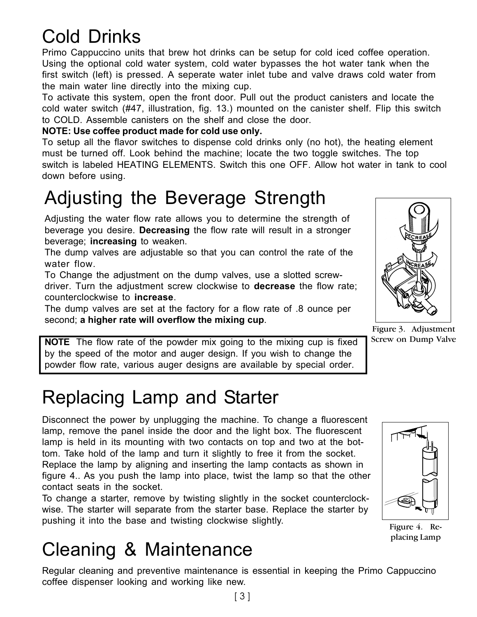## Cold Drinks

Primo Cappuccino units that brew hot drinks can be setup for cold iced coffee operation. Using the optional cold water system, cold water bypasses the hot water tank when the first switch (left) is pressed. A seperate water inlet tube and valve draws cold water from the main water line directly into the mixing cup.

To activate this system, open the front door. Pull out the product canisters and locate the cold water switch (#47, illustration, fig. 13.) mounted on the canister shelf. Flip this switch to COLD. Assemble canisters on the shelf and close the door.

### **NOTE: Use coffee product made for cold use only.**

To setup all the flavor switches to dispense cold drinks only (no hot), the heating element must be turned off. Look behind the machine; locate the two toggle switches. The top switch is labeled HEATING ELEMENTS. Switch this one OFF. Allow hot water in tank to cool down before using.

## Adjusting the Beverage Strength

Adjusting the water flow rate allows you to determine the strength of beverage you desire. **Decreasing** the flow rate will result in a stronger beverage; **increasing** to weaken.

The dump valves are adjustable so that you can control the rate of the water flow.

To Change the adjustment on the dump valves, use a slotted screwdriver. Turn the adjustment screw clockwise to **decrease** the flow rate; counterclockwise to **increase**.

The dump valves are set at the factory for a flow rate of .8 ounce per second; **a higher rate will overflow the mixing cup**.

**NOTE** The flow rate of the powder mix going to the mixing cup is fixed by the speed of the motor and auger design. If you wish to change the powder flow rate, various auger designs are available by special order.

## Replacing Lamp and Starter

Disconnect the power by unplugging the machine. To change a fluorescent lamp, remove the panel inside the door and the light box. The fluorescent lamp is held in its mounting with two contacts on top and two at the bottom. Take hold of the lamp and turn it slightly to free it from the socket. Replace the lamp by aligning and inserting the lamp contacts as shown in figure 4.. As you push the lamp into place, twist the lamp so that the other contact seats in the socket.

To change a starter, remove by twisting slightly in the socket counterclockwise. The starter will separate from the starter base. Replace the starter by pushing it into the base and twisting clockwise slightly.

## Cleaning & Maintenance

Regular cleaning and preventive maintenance is essential in keeping the Primo Cappuccino coffee dispenser looking and working like new.

Figure 3. Adjustment Screw on Dump Valve

Figure 4. Replacing Lamp



123456789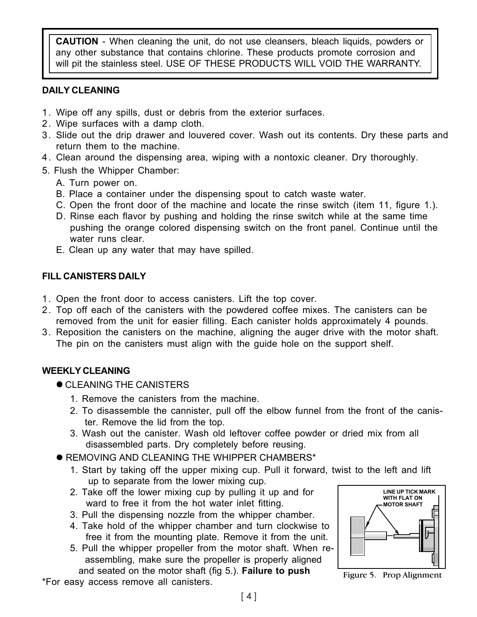**CAUTION** - When cleaning the unit, do not use cleansers, bleach liquids, powders or any other substance that contains chlorine. These products promote corrosion and will pit the stainless steel. USE OF THESE PRODUCTS WILL VOID THE WARRANTY.

### **DAILY CLEANING**

- 1. Wipe off any spills, dust or debris from the exterior surfaces.
- 2. Wipe surfaces with a damp cloth.
- 3. Slide out the drip drawer and louvered cover. Wash out its contents. Dry these parts and return them to the machine.
- 4. Clean around the dispensing area, wiping with a nontoxic cleaner. Dry thoroughly.
- 5. Flush the Whipper Chamber:
	- A. Turn power on.
	- B. Place a container under the dispensing spout to catch waste water.
	- C. Open the front door of the machine and locate the rinse switch (item 11, figure 1.).
	- D. Rinse each flavor by pushing and holding the rinse switch while at the same time pushing the orange colored dispensing switch on the front panel. Continue until the water runs clear.
	- E. Clean up any water that may have spilled.

### **FILL CANISTERS DAILY**

- 1. Open the front door to access canisters. Lift the top cover.
- 2. Top off each of the canisters with the powdered coffee mixes. The canisters can be removed from the unit for easier filling. Each canister holds approximately 4 pounds.
- 3. Reposition the canisters on the machine, aligning the auger drive with the motor shaft. The pin on the canisters must align with the guide hole on the support shelf.

### **WEEKLY CLEANING**

- **CLEANING THE CANISTERS** 
	- 1. Remove the canisters from the machine.
	- 2. To disassemble the cannister, pull off the elbow funnel from the front of the canis ter. Remove the lid from the top.
	- 3. Wash out the canister. Wash old leftover coffee powder or dried mix from all disassembled parts. Dry completely before reusing.
- **REMOVING AND CLEANING THE WHIPPER CHAMBERS\*** 
	- 1. Start by taking off the upper mixing cup. Pull it forward, twist to the left and lift up to separate from the lower mixing cup.
	- 2. Take off the lower mixing cup by pulling it up and for ward to free it from the hot water inlet fitting.
	- 3. Pull the dispensing nozzle from the whipper chamber.
	- 4. Take hold of the whipper chamber and turn clockwise to free it from the mounting plate. Remove it from the unit.
	- 5. Pull the whipper propeller from the motor shaft. When re assembling, make sure the propeller is properly aligned and seated on the motor shaft (fig 5.). **Failure to push**

\*For easy access remove all canisters.



Figure 5. Prop Alignment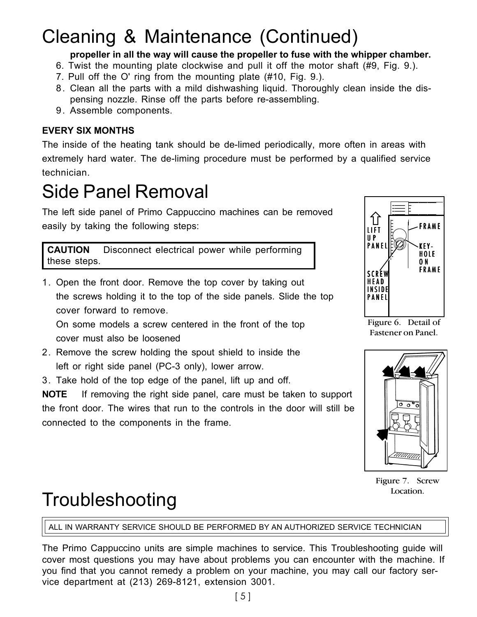## Cleaning & Maintenance (Continued)

### **propeller in all the way will cause the propeller to fuse with the whipper chamber.**

- 6. Twist the mounting plate clockwise and pull it off the motor shaft (#9, Fig. 9.).
- 7. Pull off the O' ring from the mounting plate (#10, Fig. 9.).
- 8. Clean all the parts with a mild dishwashing liquid. Thoroughly clean inside the dispensing nozzle. Rinse off the parts before re-assembling.
- 9. Assemble components.

### **EVERY SIX MONTHS**

The inside of the heating tank should be de-limed periodically, more often in areas with extremely hard water. The de-liming procedure must be performed by a qualified service technician.

## Side Panel Removal

The left side panel of Primo Cappuccino machines can be removed easily by taking the following steps:

**CAUTION** Disconnect electrical power while performing these steps.

1. Open the front door. Remove the top cover by taking out the screws holding it to the top of the side panels. Slide the top cover forward to remove.

On some models a screw centered in the front of the top cover must also be loosened

- 2. Remove the screw holding the spout shield to inside the left or right side panel (PC-3 only), lower arrow.
- 3. Take hold of the top edge of the panel, lift up and off.

**NOTE** If removing the right side panel, care must be taken to support the front door. The wires that run to the controls in the door will still be connected to the components in the frame.



Figure 6. Detail of Fastener on Panel.



Figure 7. Screw Location.

## Troubleshooting

ALL IN WARRANTY SERVICE SHOULD BE PERFORMED BY AN AUTHORIZED SERVICE TECHNICIAN

The Primo Cappuccino units are simple machines to service. This Troubleshooting guide will cover most questions you may have about problems you can encounter with the machine. If you find that you cannot remedy a problem on your machine, you may call our factory service department at (213) 269-8121, extension 3001.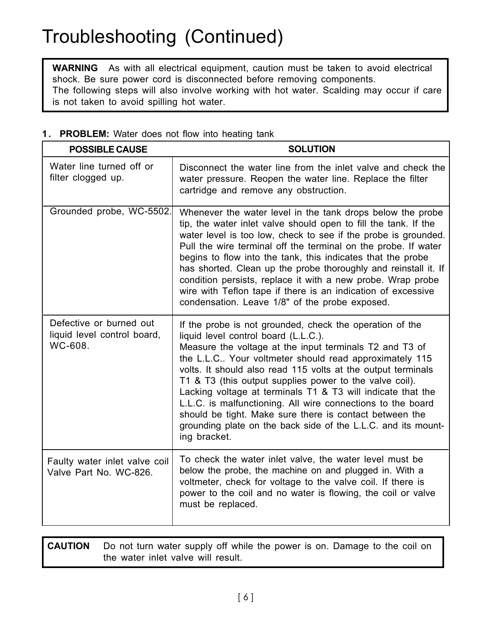### Troubleshooting (Continued)

**WARNING** As with all electrical equipment, caution must be taken to avoid electrical shock. Be sure power cord is disconnected before removing components. The following steps will also involve working with hot water. Scalding may occur if care is not taken to avoid spilling hot water.

### **1. PROBLEM:** Water does not flow into heating tank

| <b>POSSIBLE CAUSE</b>                                             | <b>SOLUTION</b>                                                                                                                                                                                                                                                                                                                                                                                                                                                                                                                                                                                                            |
|-------------------------------------------------------------------|----------------------------------------------------------------------------------------------------------------------------------------------------------------------------------------------------------------------------------------------------------------------------------------------------------------------------------------------------------------------------------------------------------------------------------------------------------------------------------------------------------------------------------------------------------------------------------------------------------------------------|
| Water line turned off or<br>filter clogged up.                    | Disconnect the water line from the inlet valve and check the<br>water pressure. Reopen the water line. Replace the filter<br>cartridge and remove any obstruction.                                                                                                                                                                                                                                                                                                                                                                                                                                                         |
| Grounded probe, WC-5502.                                          | Whenever the water level in the tank drops below the probe<br>tip, the water inlet valve should open to fill the tank. If the<br>water level is too low, check to see if the probe is grounded.<br>Pull the wire terminal off the terminal on the probe. If water<br>begins to flow into the tank, this indicates that the probe<br>has shorted. Clean up the probe thoroughly and reinstall it. If<br>condition persists, replace it with a new probe. Wrap probe<br>wire with Teflon tape if there is an indication of excessive<br>condensation. Leave 1/8" of the probe exposed.                                       |
| Defective or burned out<br>liquid level control board,<br>WC-608. | If the probe is not grounded, check the operation of the<br>liquid level control board (L.L.C.).<br>Measure the voltage at the input terminals T2 and T3 of<br>the L.L.C Your voltmeter should read approximately 115<br>volts. It should also read 115 volts at the output terminals<br>T1 & T3 (this output supplies power to the valve coil).<br>Lacking voltage at terminals T1 & T3 will indicate that the<br>L.L.C. is malfunctioning. All wire connections to the board<br>should be tight. Make sure there is contact between the<br>grounding plate on the back side of the L.L.C. and its mount-<br>ing bracket. |
| Faulty water inlet valve coil<br>Valve Part No. WC-826.           | To check the water inlet valve, the water level must be<br>below the probe, the machine on and plugged in. With a<br>voltmeter, check for voltage to the valve coil. If there is<br>power to the coil and no water is flowing, the coil or valve<br>must be replaced.                                                                                                                                                                                                                                                                                                                                                      |

**CAUTION** Do not turn water supply off while the power is on. Damage to the coil on the water inlet valve will result.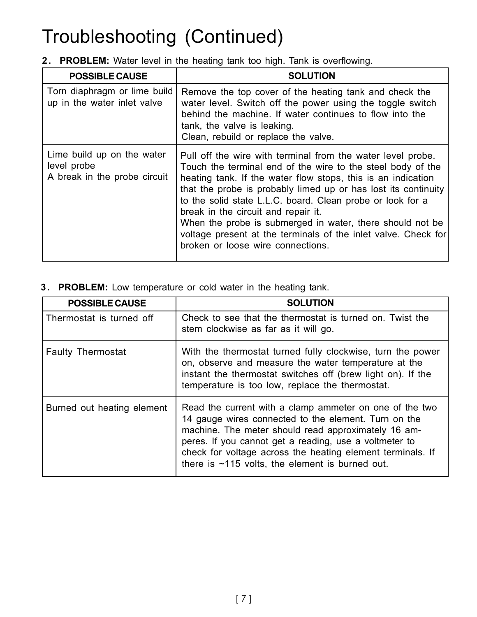## Troubleshooting (Continued)

**2. PROBLEM:** Water level in the heating tank too high. Tank is overflowing.

| <b>POSSIBLE CAUSE</b>                                                     | <b>SOLUTION</b>                                                                                                                                                                                                                                                                                                                                                                                                                                                                                                                       |
|---------------------------------------------------------------------------|---------------------------------------------------------------------------------------------------------------------------------------------------------------------------------------------------------------------------------------------------------------------------------------------------------------------------------------------------------------------------------------------------------------------------------------------------------------------------------------------------------------------------------------|
| Torn diaphragm or lime build<br>up in the water inlet valve               | Remove the top cover of the heating tank and check the<br>water level. Switch off the power using the toggle switch<br>behind the machine. If water continues to flow into the<br>tank, the valve is leaking.<br>Clean, rebuild or replace the valve.                                                                                                                                                                                                                                                                                 |
| Lime build up on the water<br>level probe<br>A break in the probe circuit | Pull off the wire with terminal from the water level probe.<br>Touch the terminal end of the wire to the steel body of the<br>heating tank. If the water flow stops, this is an indication<br>that the probe is probably limed up or has lost its continuity<br>to the solid state L.L.C. board. Clean probe or look for a<br>break in the circuit and repair it.<br>When the probe is submerged in water, there should not be<br>voltage present at the terminals of the inlet valve. Check for<br>broken or loose wire connections. |

**3. PROBLEM:** Low temperature or cold water in the heating tank.

| <b>POSSIBLE CAUSE</b>      | <b>SOLUTION</b>                                                                                                                                                                                                                                                                                                                                     |
|----------------------------|-----------------------------------------------------------------------------------------------------------------------------------------------------------------------------------------------------------------------------------------------------------------------------------------------------------------------------------------------------|
| Thermostat is turned off   | Check to see that the thermostat is turned on. Twist the<br>stem clockwise as far as it will go.                                                                                                                                                                                                                                                    |
| <b>Faulty Thermostat</b>   | With the thermostat turned fully clockwise, turn the power<br>on, observe and measure the water temperature at the<br>instant the thermostat switches off (brew light on). If the<br>temperature is too low, replace the thermostat.                                                                                                                |
| Burned out heating element | Read the current with a clamp ammeter on one of the two<br>14 gauge wires connected to the element. Turn on the<br>machine. The meter should read approximately 16 am-<br>peres. If you cannot get a reading, use a voltmeter to<br>check for voltage across the heating element terminals. If<br>there is $~115$ volts, the element is burned out. |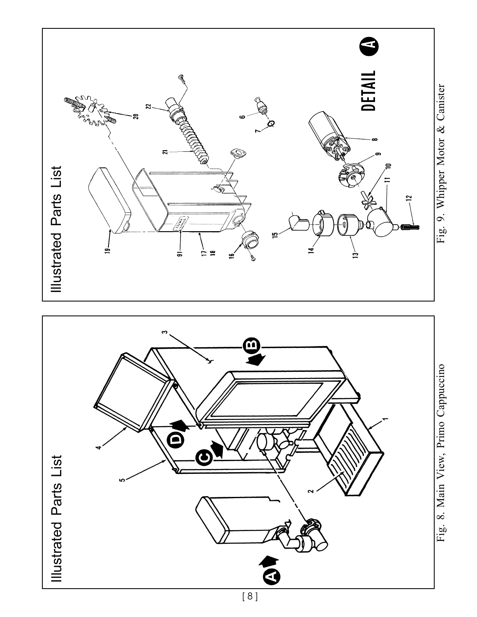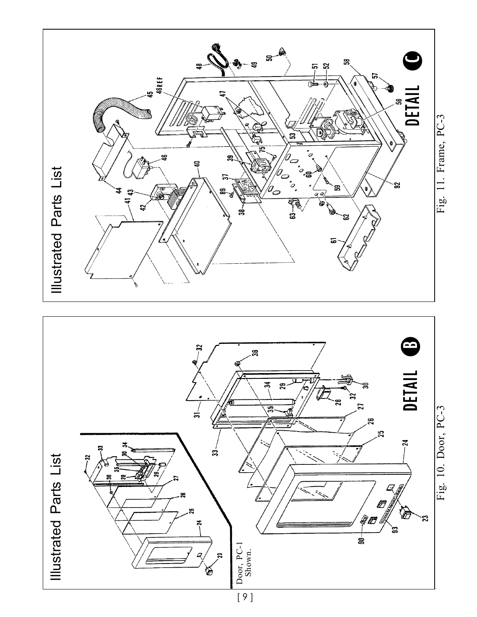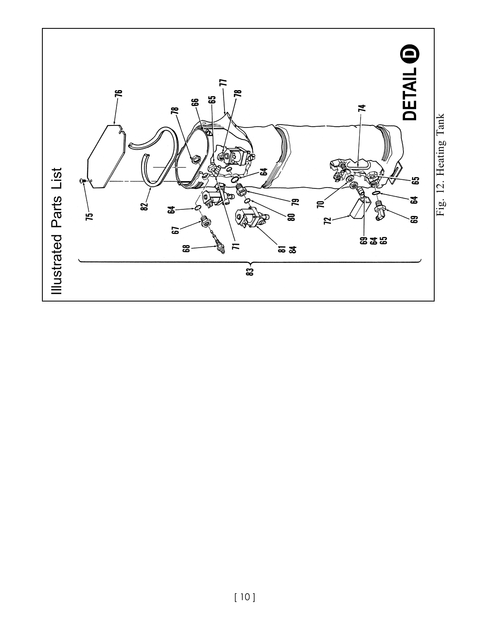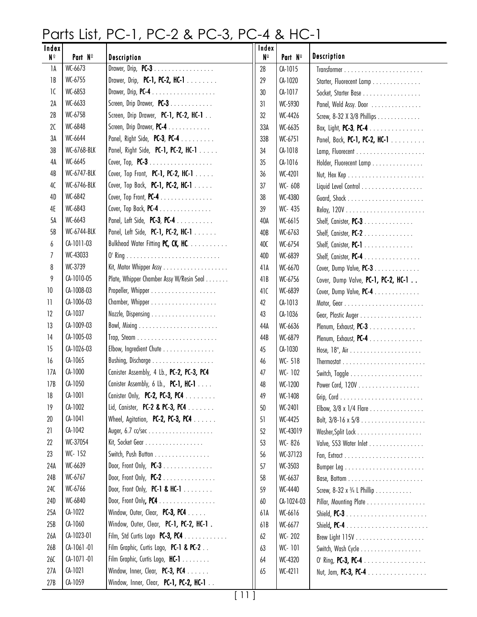### Parts List, PC-1, PC-2 & PC-3, PC-4 & HC-1

| Index<br>$N^{\circ}$ | Part Nº      | Description                                         | Index<br>N <sup>o</sup> | Part Nº    | <b>Description</b>                         |
|----------------------|--------------|-----------------------------------------------------|-------------------------|------------|--------------------------------------------|
| 1A                   | WC-6673      | Drawer, Drip, $PC-3$                                | 28                      | $CA-1015$  |                                            |
| 1B                   | WC-6755      | Drawer, Drip, PC-1, PC-2, HC-1                      | 29                      | CA-1020    | Starter, Fluorecent Lamp                   |
| 1C                   | WC-6853      | Drawer, Drip, $PC-4$                                | 30                      | CA-1017    | Socket, Starter Base                       |
| 2A                   | WC-6633      | Screen, Drip Drawer, PC-3                           | 31                      | WC-5930    | Panel, Weld Assy. Door                     |
| 2B                   | WC-6758      | Screen, Drip Drawer, PC-1, PC-2, HC-1               | 32                      | WC-4426    | Screw, 8-32 X 3/8 Phillips                 |
| 2C                   | WC-6848      | Screen, Drip Drawer, PC-4                           | 33A                     | WC-6635    | Box, Light, <b>PC-3, PC-4</b>              |
| 3A                   | WC-6644      | Panel, Right Side, PC-3, PC-4 $\ldots \ldots$       | 33B                     | WC-6751    | Panel, Back, PC-1, PC-2, HC-1              |
| 3B                   | WC-6768-BLK  | Panel, Right Side, PC-1, PC-2, HC-1                 | 34                      | CA-1018    |                                            |
| 4A                   | WC-6645      | Cover, Top, $PC-3$                                  | 35                      | $CA-1016$  | Holder, Fluorecent Lamp                    |
| 4B                   | WC-6747-BLK  | Cover, Top Front, PC-1, PC-2, HC-1 $\ldots$ .       | 36                      | WC-4201    |                                            |
| 4C                   | WC-6746-BLK  | Cover, Top Back, <b>PC-1, PC-2, HC-1</b> $\ldots$ . | 37                      | WC- 608    | Liquid Level Control                       |
| 4D                   | WC-6842      | Cover, Top Front, $PC-4$                            | 38                      | WC-4380    |                                            |
| 4E                   | WC-6843      | Cover, Top Back, $PC-4$                             | 39                      | WC- 435    |                                            |
| 5A                   | WC-6643      | Panel, Left Side, PC-3, PC-4                        | 40A                     | WC-6615    | Shelf, Canister, PC-3                      |
| 5B                   | WC-6744-BLK  | Panel, Left Side, PC-1, PC-2, HC-1                  | 40B                     | WC-6763    | Shelf, Canister, PC-2                      |
| 6                    | CA-1011-03   | Bulkhead Water Fitting PC, CK, HC.                  | 40C                     | WC-6754    | Shelf, Canister, PC-1                      |
| 7                    | WC-43033     |                                                     | 40D                     | WC-6839    | Shelf, Canister, PC-4                      |
| 8                    | WC-3739      |                                                     | 41A                     | WC-6670    | Cover, Dump Valve, PC-3                    |
| 9                    | CA-1010-05   | Plate, Whipper Chamber Assy W/Resin Seal            | 41B                     | WC-6756    | Cover, Dump Valve, PC-1, PC-2, HC-1        |
| 10                   | CA-1008-03   |                                                     | 41C                     | WC-6839    | Cover, Dump Valve, $PC-4$                  |
| 11                   | CA-1006-03   |                                                     | 42                      | CA-1013    |                                            |
| 12                   | CA-1037      |                                                     | 43                      | CA-1036    |                                            |
| 13                   | CA-1009-03   |                                                     | 44A                     | WC-6636    | Plenum, Exhaust, PC-3                      |
| 14                   | CA-1005-03   |                                                     | 44B                     | WC-6879    | Plenum, Exhaust, PC-4                      |
| 15                   | CA-1026-03   | Elbow, Ingredient Chute                             | 45                      | CA-1030    |                                            |
| 16                   | CA-1065      |                                                     | 46                      | WC-518     |                                            |
| 17A                  | CA-1000      | Canister Assembly, 4 Lb., PC-2, PC-3, PC4           | 47                      | WC-102     |                                            |
| 17B                  | CA-1050      | Conister Assembly, 6 Lb., PC-1, HC-1 $\dots$        | 48                      | WC-1200    | Power Cord, 120V                           |
| 18                   | $CA-1001$    | Canister Only, PC-2, PC-3, PC4                      | 49                      | WC-1408    |                                            |
| 19                   | CA-1002      | Lid, Canister, PC-2 & PC-3, PC4                     | 50                      | WC-2401    | Elbow, 3/8 x 1/4 Flare                     |
| 20                   | $CA-1041$    | Wheel, Agitation, PC-2, PC-3, PC4 $\dots$ .         | 51                      | WC-4425    | Bolt, $3/8 - 16 \times 5/8$                |
| 21                   | CA-1042      |                                                     | 52                      | WC-43019   |                                            |
| 22                   | WC-37054     | Kit, Socket Gear                                    | 53                      | WC-826     | Valve, S53 Water Inlet                     |
| 23                   | WC-152       | Switch, Push Button                                 | 56                      | WC-37123   |                                            |
| 24A                  | WC-6639      | Door, Front Only, $PC-3$                            | 57                      | WC-3503    |                                            |
| 24B                  | WC-6767      | Door, Front Only, $PC-2$                            | 58                      | WC-6637    |                                            |
| 24C                  | WC-6766      | Door, Front Only, PC-1 & HC-1 $\dots \dots$         | 59                      | WC-4440    | Screw, $8-32 \times \frac{3}{4}$ L Phillip |
| 24D                  | WC-6840      | Door, Front Only, PC4                               | 60                      | CA-1024-03 | Pillar, Mounting Plate                     |
| 25A                  | CA-1022      | Window, Outer, Clear, PC-3, PC4 $\dots$ .           | 61A                     | WC-6616    |                                            |
| 25B                  | CA-1060      | Window, Outer, Clear, PC-1, PC-2, HC-1.             | 61B                     | WC-6677    |                                            |
| 26A                  | CA-1023-01   | Film, Std Curtis Logo PC-3, PC4                     | 62                      | WC-202     |                                            |
| 26B                  | CA-1061-01   | Film Graphic, Curtis Logo, PC-1 & PC-2              | 63                      | WC-101     | Switch, Wash Cycle                         |
| 26C                  | $CA-1071-01$ | Film Graphic, Curtis Logo, HC-1                     | 64                      | WC-4320    | 0' Ring, <b>PC-3, PC-4</b>                 |
| 27A                  | $CA-1021$    | Window, Inner, Clear, PC-3, PC4 $\dots$ .           | 65                      | WC-4211    | Nut, Jam, PC-3, PC-4                       |
| 27B                  | CA-1059      | Window, Inner, Clear, PC-1, PC-2, HC-1              |                         |            |                                            |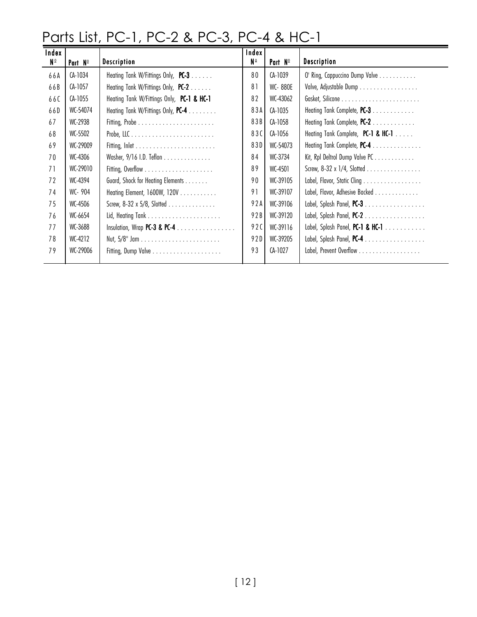### Parts List, PC-1, PC-2 & PC-3, PC-4 & HC-1

| Index<br><b>N</b> <sub>0</sub> | Part Nº  | <b>Description</b>                                           | Index I<br>N <sup>o</sup> | Part $N^{\circ}$ | <b>Description</b>                                   |
|--------------------------------|----------|--------------------------------------------------------------|---------------------------|------------------|------------------------------------------------------|
| 66A                            | CA-1034  |                                                              | 80                        | CA-1039          |                                                      |
|                                |          | Heating Tank W/Fittings Only, PC-3                           |                           |                  | O' Ring, Cappuccino Dump Valve                       |
| 66B                            | CA-1057  | Heating Tank W/Fittings Only, PC-2                           | 81                        | WC-880E          | Valve, Adjustable Dump                               |
| 660                            | CA-1055  | Heating Tank W/Fittings Only, PC-1 & HC-1                    | 82                        | WC-43062         |                                                      |
| 66D                            | WC-54074 | Heating Tank W/Fittings Only, PC-4                           | 83A                       | CA-1035          | Heating Tank Complete, PC-3                          |
| 67                             | WC-2938  |                                                              | 83B                       | CA-1058          | Heating Tank Complete, PC-2                          |
| 68                             | WC-5502  |                                                              | 83C                       | CA-1056          | Heating Tank Complete, PC-1 & HC-1                   |
| 69                             | WC-29009 |                                                              | 83D                       | WC-54073         | Heating Tank Complete, PC-4                          |
| 70                             | WC-4306  | Washer, 9/16 I.D. Teflon                                     | 84                        | WC-3734          | Kit, Rpl Deltrol Dump Valve PC                       |
| 71                             | WC-29010 |                                                              | 89                        | WC-4501          | Screw, 8-32 x 1/4, Slotted                           |
| 72                             | WC-4394  | Guard, Shock for Heating Elements                            | 90                        | WC-39105         | Label, Flavor, Static Cling                          |
| 74                             | WC-904   | Heating Element, 1600W, 120V                                 | 91                        | WC-39107         | Label, Flavor, Adhesive Backed                       |
| 75                             | WC-4506  | Screw, 8-32 x 5/8, Slotted                                   | 92AI                      | WC-39106         |                                                      |
| 76                             | WC-6654  |                                                              | 92BI                      | WC-39120         |                                                      |
| 77                             | WC-3688  | Insulation, Wrap PC-3 & PC-4 $\dots \dots \dots \dots \dots$ | 92C                       | WC-39116         | Label, Splash Panel, PC-1 & HC-1 $\dots \dots \dots$ |
| 78                             | WC-4212  |                                                              | 92DI                      | WC-39205         | Label, Splash Panel, PC-4                            |
| 79                             | WC-29006 |                                                              | 93                        | CA-1027          | Label, Prevent Overflow                              |
|                                |          |                                                              |                           |                  |                                                      |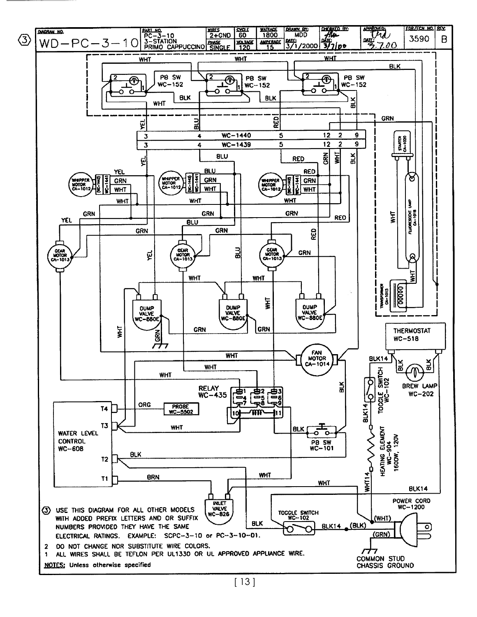